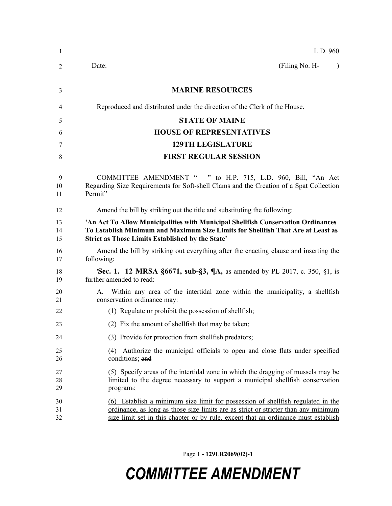| $\mathbf{1}$   | L.D. 960                                                                                                                                                                                                                                                    |
|----------------|-------------------------------------------------------------------------------------------------------------------------------------------------------------------------------------------------------------------------------------------------------------|
| 2              | (Filing No. H-<br>Date:                                                                                                                                                                                                                                     |
| 3              | <b>MARINE RESOURCES</b>                                                                                                                                                                                                                                     |
| 4              | Reproduced and distributed under the direction of the Clerk of the House.                                                                                                                                                                                   |
| 5              | <b>STATE OF MAINE</b>                                                                                                                                                                                                                                       |
| 6              | <b>HOUSE OF REPRESENTATIVES</b>                                                                                                                                                                                                                             |
| 7              | <b>129TH LEGISLATURE</b>                                                                                                                                                                                                                                    |
| 8              | <b>FIRST REGULAR SESSION</b>                                                                                                                                                                                                                                |
| 9<br>10<br>11  | COMMITTEE AMENDMENT " " to H.P. 715, L.D. 960, Bill, "An Act<br>Regarding Size Requirements for Soft-shell Clams and the Creation of a Spat Collection<br>Permit"                                                                                           |
| 12             | Amend the bill by striking out the title and substituting the following:                                                                                                                                                                                    |
| 13<br>14<br>15 | 'An Act To Allow Municipalities with Municipal Shellfish Conservation Ordinances<br>To Establish Minimum and Maximum Size Limits for Shellfish That Are at Least as<br><b>Strict as Those Limits Established by the State'</b>                              |
| 16<br>17       | Amend the bill by striking out everything after the enacting clause and inserting the<br>following:                                                                                                                                                         |
| 18<br>19       | <b>Sec. 1. 12 MRSA §6671, sub-§3, ¶A, as amended by PL 2017, c. 350, §1, is</b><br>further amended to read:                                                                                                                                                 |
| 20<br>21       | Within any area of the intertidal zone within the municipality, a shellfish<br>А.<br>conservation ordinance may:                                                                                                                                            |
| 22             | (1) Regulate or prohibit the possession of shellfish;                                                                                                                                                                                                       |
| 23             | (2) Fix the amount of shell fish that may be taken;                                                                                                                                                                                                         |
| 24             | (3) Provide for protection from shellfish predators;                                                                                                                                                                                                        |
| 25<br>26       | (4) Authorize the municipal officials to open and close flats under specified<br>conditions; and                                                                                                                                                            |
| 27<br>28<br>29 | (5) Specify areas of the intertidal zone in which the dragging of mussels may be<br>limited to the degree necessary to support a municipal shellfish conservation<br>program-;                                                                              |
| 30<br>31<br>32 | (6) Establish a minimum size limit for possession of shellfish regulated in the<br>ordinance, as long as those size limits are as strict or stricter than any minimum<br>size limit set in this chapter or by rule, except that an ordinance must establish |

Page 1 **- 129LR2069(02)-1**

## *COMMITTEE AMENDMENT*